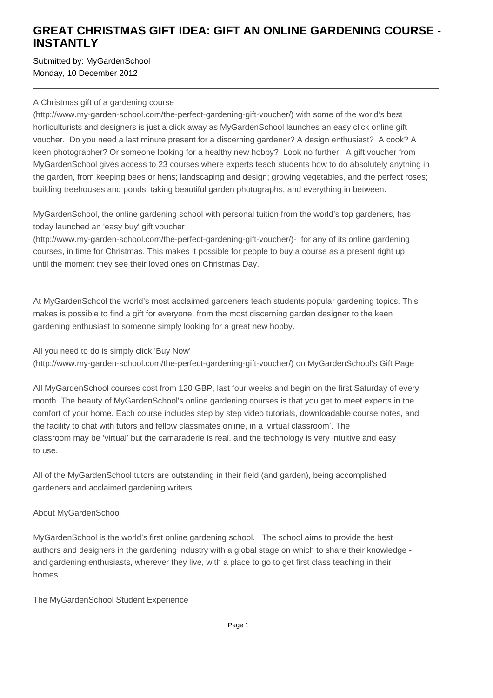## **GREAT CHRISTMAS GIFT IDEA: GIFT AN ONLINE GARDENING COURSE - INSTANTLY**

Submitted by: MyGardenSchool Monday, 10 December 2012

## A Christmas gift of a gardening course

(http://www.my-garden-school.com/the-perfect-gardening-gift-voucher/) with some of the world's best horticulturists and designers is just a click away as MyGardenSchool launches an easy click online gift voucher. Do you need a last minute present for a discerning gardener? A design enthusiast? A cook? A keen photographer? Or someone looking for a healthy new hobby? Look no further. A gift voucher from MyGardenSchool gives access to 23 courses where experts teach students how to do absolutely anything in the garden, from keeping bees or hens; landscaping and design; growing vegetables, and the perfect roses; building treehouses and ponds; taking beautiful garden photographs, and everything in between.

MyGardenSchool, the online gardening school with personal tuition from the world's top gardeners, has today launched an 'easy buy' gift voucher

(http://www.my-garden-school.com/the-perfect-gardening-gift-voucher/)- for any of its online gardening courses, in time for Christmas. This makes it possible for people to buy a course as a present right up until the moment they see their loved ones on Christmas Day.

At MyGardenSchool the world's most acclaimed gardeners teach students popular gardening topics. This makes is possible to find a gift for everyone, from the most discerning garden designer to the keen gardening enthusiast to someone simply looking for a great new hobby.

All you need to do is simply click 'Buy Now' (http://www.my-garden-school.com/the-perfect-gardening-gift-voucher/) on MyGardenSchool's Gift Page

All MyGardenSchool courses cost from 120 GBP, last four weeks and begin on the first Saturday of every month. The beauty of MyGardenSchool's online gardening courses is that you get to meet experts in the comfort of your home. Each course includes step by step video tutorials, downloadable course notes, and the facility to chat with tutors and fellow classmates online, in a 'virtual classroom'. The classroom may be 'virtual' but the camaraderie is real, and the technology is very intuitive and easy to use.

All of the MyGardenSchool tutors are outstanding in their field (and garden), being accomplished gardeners and acclaimed gardening writers.

## About MyGardenSchool

MyGardenSchool is the world's first online gardening school. The school aims to provide the best authors and designers in the gardening industry with a global stage on which to share their knowledge and gardening enthusiasts, wherever they live, with a place to go to get first class teaching in their homes.

The MyGardenSchool Student Experience